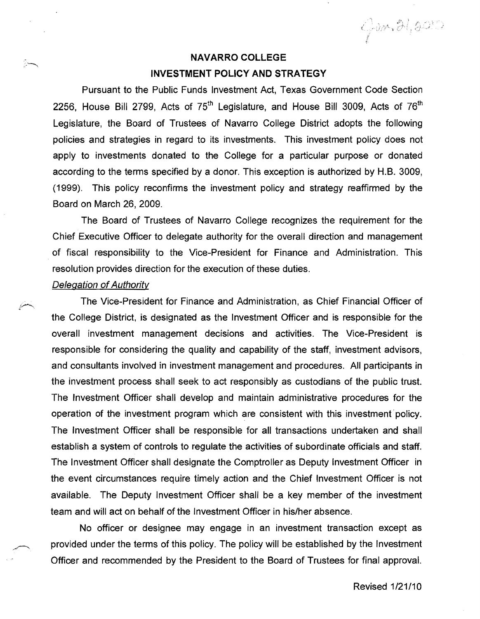$Qom. 21, 2010$ 

# **NAVARRO COLLEGE INVESTMENT POLICY AND STRATEGY**

Pursuant to the Public Funds Investment Act, Texas Government Code Section 2256, House Bill 2799, Acts of 75<sup>th</sup> Legislature, and House Bill 3009, Acts of 76<sup>th</sup> Legislature, the Board of Trustees of Navarro College District adopts the following policies and strategies in regard to its investments. This investment policy does not apply to investments donated to the College for a particular purpose or donated according to the terms specified by a donor. This exception is authorized by H.B. 3009, (1999). This policy reconfirms the investment policy and strategy reaffirmed by the Board on March 26, 2009.

The Board of Trustees of Navarro College recognizes the requirement for the Chief Executive Officer to delegate authority for the overall direction and management of fiscal responsibility to the Vice-President for Finance and Administration. This resolution provides direction for the execution of these duties.

## Delegation of Authority

يستركز

The Vice-President for Finance and Administration, as Chief Financial Officer of the College District, is designated as the Investment Officer and is responsible for the overall investment management decisions and activities. The Vice-President is responsible for considering the quality and capability of the staff, investment advisors, and consultants involved in investment management and procedures. All participants in the investment process shall seek to act responsibly as custodians of the public trust. The Investment Officer shall develop and maintain administrative procedures for the operation of the investment program which are consistent with this investment' policy. The Investment Officer shall be responsible for all transactions undertaken and shall establish a system of controls to regulate the activities of subordinate officials and staff. The Investment Officer shall designate the Comptroller as Deputy Investment Officer in the event circumstances require timely action and the Chief Investment Officer is not available. The Deputy Investment Officer shall be a key member of the investment team and will act on behalf of the Investment Officer in his/her absence.

No officer or designee may engage in an investment transaction except as provided under the terms of this policy. The policy will be established by the Investment Officer and recommended by the President to the Board of Trustees for final approval.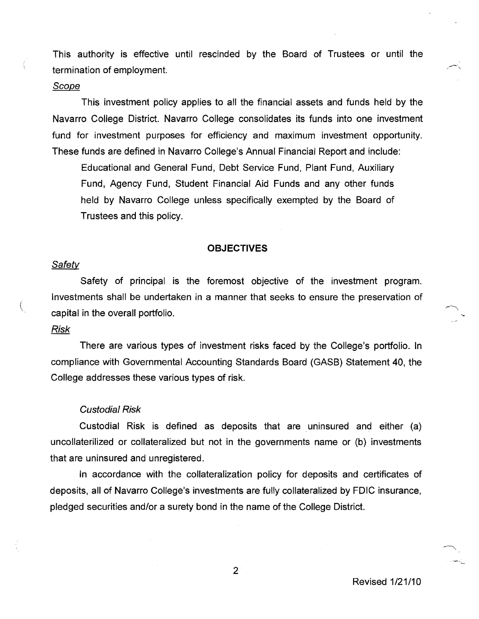This authority is effective until rescinded by the Board of Trustees or until the termination of employment.

### **Scope**

This investment policy applies to all the financial assets and funds held by the Navarro College District. Navarro College consolidates its funds into one investment fund for investment purposes for efficiency and maximum investment opportunity. These funds are defined in Navarro College's Annual Financial Report and include:

Educational and General Fund, Debt Service Fund, Plant Fund, Auxiliary Fund, Agency Fund, Student Financial Aid Funds and any other funds held by Navarro College unless specifically exempted by the Board of Trustees and this policy.

#### **OBJECTIVES**

### **Safety**

Safety of principal is the foremost objective of the investment program. Investments shall be undertaken in a manner that seeks to ensure the preservation of capital in the overall portfolio.

# Risk

There are various types of investment risks faced by the College's portfolio. In compliance with Governmental Accounting Standards Board (GASB) Statement 40, the College addresses these various types of risk.

#### Custodial Risk

Custodial Risk is defined as deposits that are uninsured and either (a) uncollaterilized or collateralized but not in the governments name or (b) investments that are uninsured and unregistered.

In accordance with the collateralization policy for deposits and certificates of deposits, all of Navarro College's investments are fully collateralized by FDIC insurance, pledged securities and/or a surety bond in the name of the College District.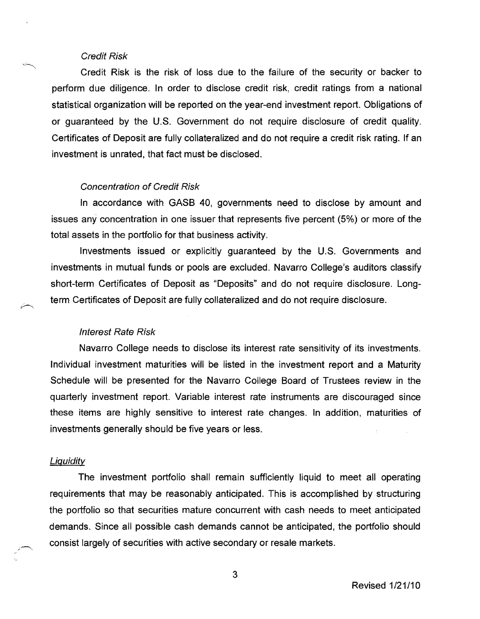### Credit Risk

Credit Risk is the risk of loss due to the failure of the security or backer to perform due diligence. In order to disclose credit risk, credit ratings from a national statistical organization will be reported on the year-end investment report. Obligations of or guaranteed by the U.S. Government do not require disclosure of credit quality. Certificates of Deposit are fully collateralized and do not require a credit risk rating. If an investment is unrated, that fact must be disclosed.

### Concentration of Credit Risk

In accordance with GASB 40, governments need to disclose by amount and issues any concentration in one issuer that represents five percent (5%) or more of the total assets in the portfolio for that business activity.

Investments issued or explicitly guaranteed by the U.S. Governments and investments in mutual funds or pools are excluded. Navarro College's auditors classify short-term Certificates of Deposit as "Deposits" and do not require disclosure. Longterm Certificates of Deposit are fully collateralized and do not require disclosure.

# Interest Rate Risk

Navarro College needs to disclose its interest rate sensitivity of its investments. Individual investment maturities will be listed in the investment report and a Maturity Schedule will be presented for the Navarro College Board of Trustees review in the quarterly investment report. Variable interest rate instruments are discouraged since these items are highly sensitive to interest rate changes. In addition, maturities of investments generally should be five years or less.

#### **Liquidity**

The investment portfolio shall remain sufficiently liquid to meet all operating requirements that may be reasonably anticipated. This is accomplished by structuring the portfolio so that securities mature concurrent with cash needs to meet anticipated demands. Since all possible cash demands cannot be anticipated, the portfolio should consist largely of securities with active secondary or resale markets.

3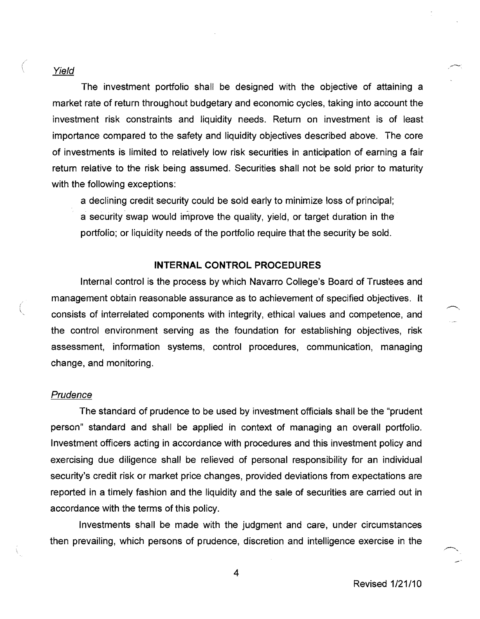#### Yield

The investment portfolio shall be designed with the objective of attaining a market rate of return throughout budgetary and economic cycles, taking into account the investment risk constraints and liquidity needs. Return on investment is of least importance compared to the safety and liquidity objectives described above. The core of investments is limited to relatively low risk securities in anticipation of earning a fair return relative to the risk being assumed. Securities shall not be sold prior to maturity with the following exceptions:

a declining credit security could be sold early to minimize loss of principal;

a security swap would improve the quality, yield, or target duration in the portfolio; or liquidity needs of the portfolio require that the security be sold.

#### **INTERNAL CONTROL PROCEDURES**

Internal control is the process by which Navarro College's Board of Trustees and management obtain reasonable assurance as to achievement of specified objectives. It consists of interrelated components with integrity, ethical values and competence, and the control environment serving as the foundation for establishing objectives, risk assessment, information systems, control procedures, communication, managing change, and monitoring.

### Prudence

The standard of prudence to be used by investment officials shall be the "prudent person" standard and shall be applied in context of managing an overall portfolio. Investment officers acting in accordance with procedures and this investment policy and exercising due diligence shall be relieved of personal responsibility for an individual security's credit risk or market price changes, provided deviations from expectations are reported in a timely fashion and the liquidity and the sale of securities are carried out in accordance with the terms of this policy.

Investments shall be made with the judgment and care, under circumstances then prevailing, which persons of prudence, discretion and intelligence exercise in the

Revised 1/21/10

4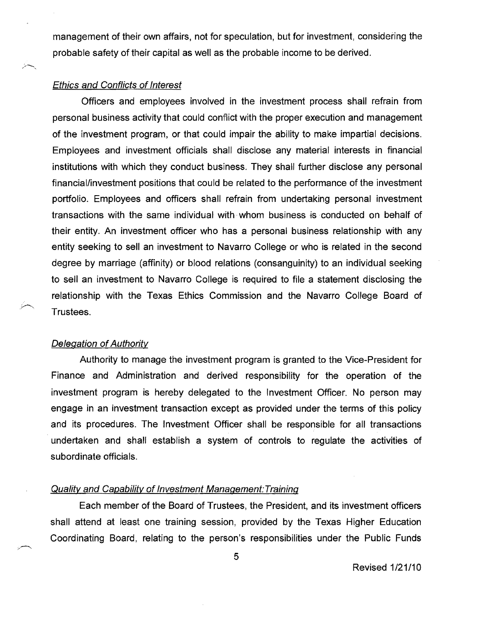management of their own affairs, not for speculation, but for investment, considering the probable safety of their capital as well as the probable income to be derived.

### Ethics and Conflicts of Interest

Officers and employees involved in the investment process shall refrain from personal business activity that could conflict with the proper execution and management of the investment program, or that could impair the ability to make impartial decisions. Employees and investment officials shall disclose any material interests in financial institutions with which they conduct business. They shall further disclose any personal financial/investment positions that could be related to the performance of the investment portfolio. Employees and officers shall refrain from undertaking personal investment transactions with the same individual with whom business is conducted on behalf of their entity. An investment officer who has a personal business relationship with any entity seeking to sell an investment to Navarro College or who is related in the second degree by marriage (affinity) or blood relations (consanguinity) to an individual seeking to sell an investment to Navarro College is required to file a statement disclosing the relationship with the Texas Ethics Commission and the Navarro College Board of Trustees.

### Delegation of Authority

Authority to manage the investment program is granted to the Vice-President for Finance and Administration and derived responsibility for the operation of the investment program is hereby delegated to the Investment Officer. No person may engage in an investment transaction except as provided under the terms of this policy and its procedures. The Investment Officer shall be responsible for all transactions undertaken and shall establish a system of controls to regulate the activities of subordinate officials.

## Quality and Capability of Investment Management:Training

Each member of the Board of Trustees, the President, and its investment officers shall attend at least one training session, provided by the Texas Higher Education Coordinating Board, relating to the person's responsibilities under the Public Funds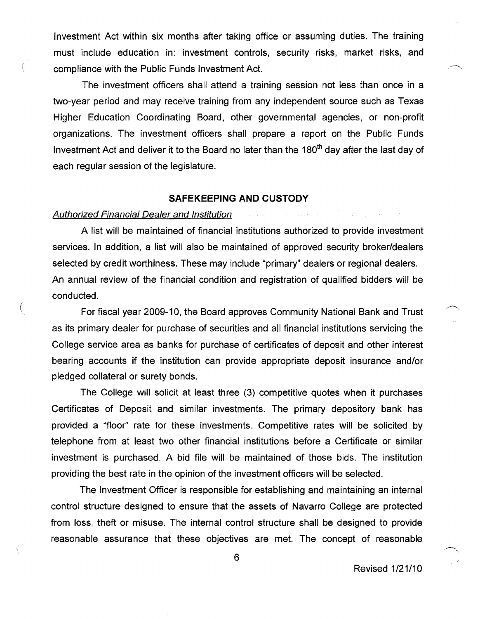Investment Act within six months after taking office or assuming duties. The training must include education in: investment controls, security risks, market risks, and compliance with the Public Funds Investment Act.

The investment officers shall attend a training session not less than once in a two-year period and may receive training from any independent source such as Texas Higher Education Coordinating Board, other governmental agencies, or non-profit organizations. The investment officers shall prepare a report on the Public Funds Investment Act and deliver it to the Board no later than the 180<sup>th</sup> day after the last day of each regular session of the legislature.

# **SAFEKEEPING AND CUSTODY**

# Authorized Financial Dealer and Institution

A list will be maintained of financial institutions authorized to provide investment services. In addition, a list will also be maintained of approved security broker/dealers selected by credit worthiness. These may include "primary" dealers or regional dealers. An annual review of the financial condition and registration of qualified bidders will be conducted.

For fiscal year 2009-10, the Board approves Community National Bank and Trust as its primary dealer for purchase of securities and all financial institutions servicing the College service area as banks for purchase of certificates of deposit and other interest bearing accounts if the institution can provide appropriate deposit insurance and/or pledged collateral or surety bonds.

The College will solicit at least three (3) competitive quotes when it purchases Certificates of Deposit and similar investments. The primary depository bank has provided a "floor" rate for these investments. Competitive rates will be solicited by telephone from at least two other financial institutions before a Certificate or similar investment is purchased. A bid file will be maintained of those bids. The institution providing the best rate in the opinion of the investment officers will be selected.

The Investment Officer is responsible for establishing and maintaining an internal control structure designed to ensure that the assets of Navarro College are protected from loss, theft or misuse. The internal control structure shall be designed to provide reasonable assurance that these objectives are met. The concept of reasonable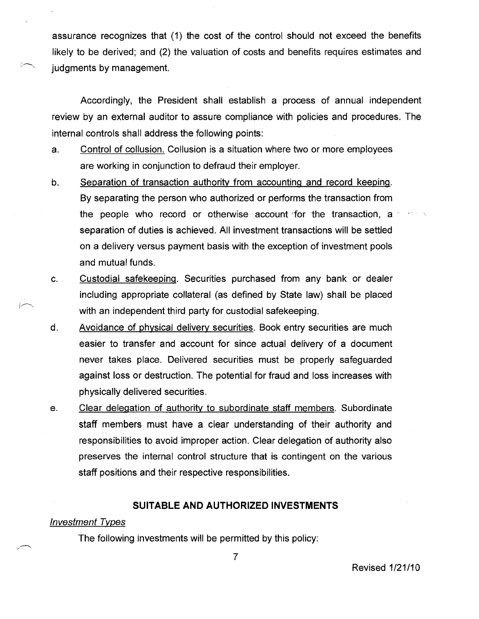assurance recognizes that (1) the cost of the control should not exceed the benefits likely to be derived; and (2) the valuation of costs and benefits requires estimates and judgments by management.

Accordingly, the President shall establish a process of annual independent review by an external auditor to assure compliance with policies and procedures. The internal controls shall address the following points:

- a. Control of collusion. Collusion is a situation where two or more employees are working in conjunction to defraud their employer.
- b. Separation of transaction authoritv from accounting and record keeping. By separating the person who authorized or performs the transaction from the people who record or otherwise account for the transaction, a separation of duties is achieved. All investment transactions will be settled on a delivery versus payment basis with the exception of investment pools and mutual funds.
- c. Custodial safekeeping. Securities purchased from any bank or dealer including appropriate collateral (as defined by State law) shall be placed with an independent third party for custodial safekeeping.
- d. Avoidance of physical delivery securities. Book entry securities are much easier to transfer and account for since actual delivery of a document never takes place. Delivered securities must be properly safeguarded against loss or destruction. The potential for fraud and loss increases with physically delivered securities.
- e. Clear delegation of authority to subordinate staff members. Subordinate staff members must have a clear understanding of their authority and responsibilities to avoid improper action. Clear delegation of authority also preserves the internal control structure that is contingent on the various staff positions and their respective responsibilities.

# **SUITABLE AND AUTHORIZED INVESTMENTS**

### Investment Types

The following investments will be permitted by this policy: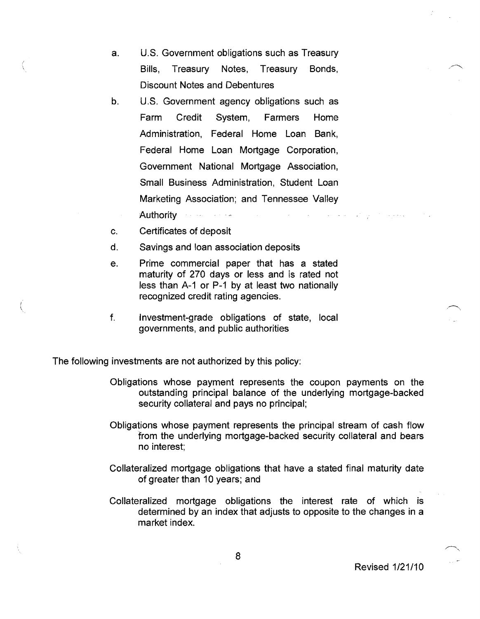- a. U.S. Government obligations such as Treasury Bills, Treasury Notes, Treasury Bonds, Discount Notes and Debentures
- b. U.S. Government agency obligations such as Farm Credit System, Farmers Home Administration, Federal Home Loan Bank, Federal Home Loan Mortgage Corporation, Government National Mortgage Association, Small Business Administration, Student Loan Marketing Association; and Tennessee Valley Authority الهامعية والمحافظ المتحدث والمتعاطين
- c. Certificates of deposit
- d. Savings and loan association deposits
- e. Prime commercial paper that has a stated maturity of 270 days or less and is rated not less than A-1 or P-1 by at least two nationally recognized credit rating agencies.
- f. Investment-grade obligations of state, local governments, and public authorities

The following investments are not authorized by this policy:

- Obligations whose payment represents the coupon payments on the outstanding principal balance of the underlying mortgage-backed security collateral and pays no principal;
- Obligations whose payment represents the principal stream of cash flow from the underlying mortgage-backed security collateral and bears no interest;
- Collateralized mortgage obligations that have a stated final maturity date of greater than 10 years; and
- Collateralized mortgage obligations the interest rate of which is determined by an index that adjusts to opposite to the changes in a market index.

Revised 1/21/10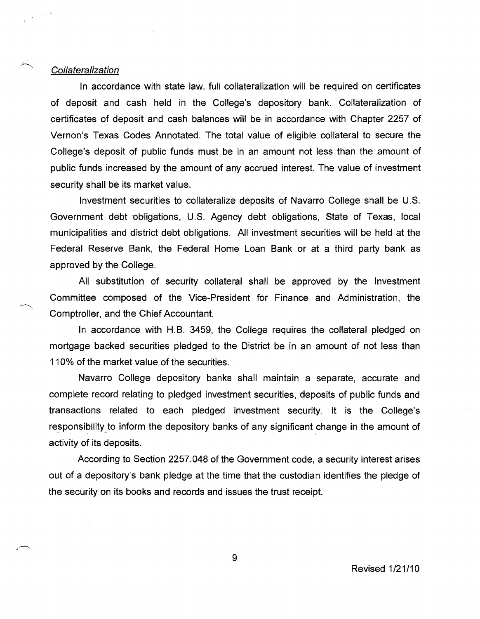#### Collateralization

 $\mathcal{L}_{\mathrm{F}}$ 

In accordance with state law, full collateralization will be required on certificates of deposit and cash held in the College's depository bank. Collateralization of certificates of deposit and cash balances will be in accordance with Chapter 2257 of Vernon's Texas Codes Annotated. The total value of eligible collateral to secure the College's deposit of public funds must be in an amount not less than the amount of public funds increased by the amount of any accrued interest. The value of investment security shall be its market value.

Investment securities to collateralize deposits of Navarro College shall be U.S. Government debt obligations, U.S. Agency debt obligations, State of Texas, local municipalities and district debt obligations. All investment securities will be held at the Federal Reserve Bank, the Federal Home Loan Bank or at a third party bank as approved by the College.

All substitution of security collateral shall be approved by the Investment Committee composed of the Vice-President for Finance and Administration, the Comptroller, and the Chief Accountant.

In accordance with H.B. 3459, the College requires the collateral pledged on mortgage backed securities pledged to the District be in an amount of not less than 110% of the market value of the securities.

Navarro College depository banks shall maintain a separate, accurate and complete record relating to pledged investment securities, deposits of public funds and transactions related to each pledged investment security. It is the College's Navarro College deposito<br>complete record relating to pledge<br>transactions related to each<br>responsibility to inform the deposi<br>activity of its deposits. to inform the depository banks of any significant change in the amount of activity of its deposits.

According to Section 2257.048 of the Government code, a security interest arises out of a depository's bank pledge at the time that the custodian identifies the pledge of the security on its books and records and issues the trust receipt.

9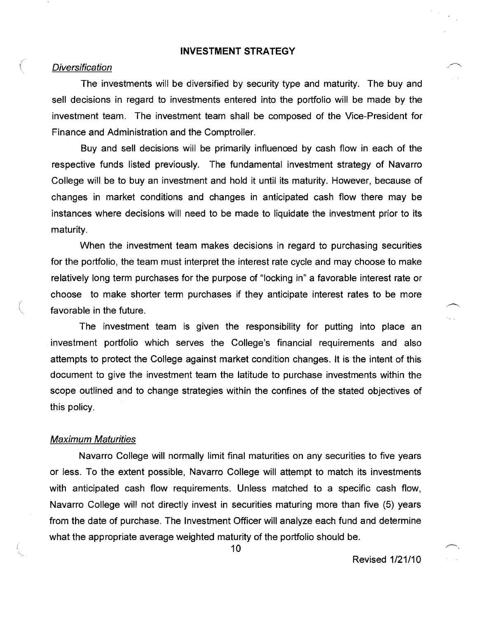# **INVESTMENT STRATEGY**

### **Diversification**

The investments will be diversified by security type and maturity. The buy and sell decisions in regard to investments entered into the portfolio will be made by the investment team. The investment team shall be composed of the Vice-President for Finance and Administration and the Comptroller.

Buy and sell decisions will be primarily influenced by cash flow in each of the respective funds listed previously. The fundamental investment strategy of Navarro College will be to buy an investment and hold it until its maturity. However, because of changes in market conditions and changes in anticipated cash flow there may be instances where decisions will need to be made to liquidate the investment prior to its maturity.

When the investment team makes decisions in regard to purchasing securities for the portfolio, the team must interpret the interest rate cycle and may choose to make relatively long term purchases for the purpose of "locking in" a favorable interest rate or choose to make shorter term purchases if they anticipate interest rates to be more favorable in the future.

The investment team is given the responsibility for putting into place an investment portfolio which serves the College's financial requirements and also attempts to protect the College against market condition changes. It is the intent of this document to give the investment team the latitude to purchase investments within the scope outlined and to change strategies within the confines of the stated objectives of this policy.

#### Maximum Maturities

Navarro College will normally limit final maturities on any securities to five years or less. To the extent possible, Navarro College will attempt to match its investments with anticipated cash flow requirements. Unless matched to a specific cash flow, Navarro College will not directly invest in securities maturing more than five (5) years from the date of purchase. The Investment Officer will analyze each fund and determine what the appropriate average weighted maturity of the portfolio should be.

10  $\sim$ 

Revised 1/21/10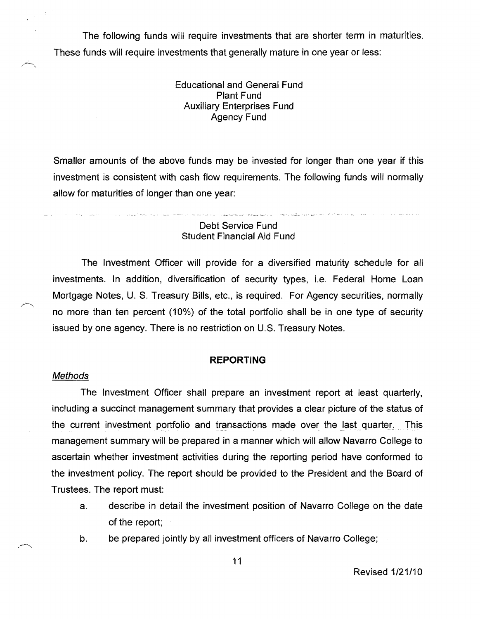The following funds will require investments that are shorter term in maturities. These funds will require investments that generally mature in one year or less:

> Educational and General Fund Plant Fund Auxiliary Enterprises Fund Agency Fund

Smaller amounts of the above funds may be invested for longer than one year if this investment is consistent with cash flow requirements. The following funds will normally allow for maturities of longer than one year:

# Debt Service Fund Student Financial Aid Fund

.<br>Kanada ka maka sa tumu ka kulingi (1986), kata na 1980 ay maso (1998) ay na ang nasang nang nang nag-agawan ng

The Investment Officer will provide for a diversified maturity schedule for all investments. In addition, diversification of security types, i.e. Federal Home Loan Mortgage Notes, U. S. Treasury Bills, etc., is required. For Agency securities, normally no more than ten percent (10%) of the total portfolio shall be in one type of security issued by one agency. There is no restriction on U.S. Treasury Notes.

### **REPORTING**

#### Methods

The Investment Officer shall prepare an investment report at least quarterly, including a succinct management summary that provides a clear picture of the status of the current investment portfolio and transactions made over the last quarter. This management summary will be prepared in a manner which will allow Navarro College to ascertain whether investment activities during the reporting period have conformed to the investment policy. The report should be provided to the President and the Board of Trustees. The report must:

- a. describe in detail the investment position of Navarro College on the date of the report;
- b. be prepared jointly by all investment officers of Navarro College;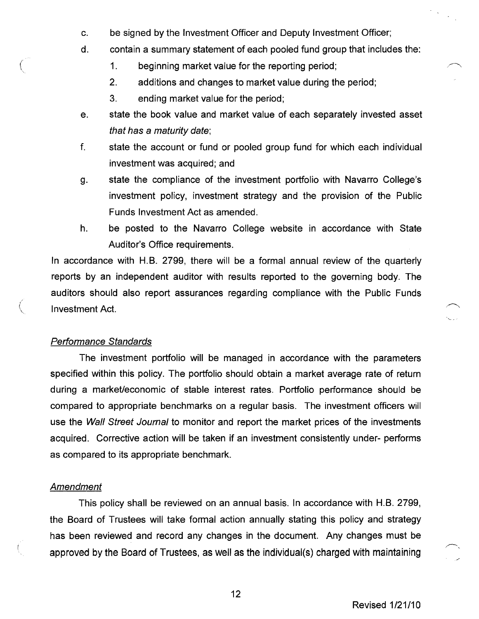- c. be signed by the Investment Officer and Deputy Investment Officer;
- d. contain a summary statement of each pooled fund group that includes the:
	- 1. beginning market value for the reporting period:
	- 2. additions and changes to market value during the period:
	- 3. ending market value for the period;
- e. state the book value and market value of each separately invested asset that has a maturity date;
- f. state the account or fund or pooled group fund for which each individual investment was acquired; and
- g. state the compliance of the investment portfolio with Navarro College's investment policy, investment strategy and the provision of the Public Funds Investment Act as amended.
- h. be posted to the Navarro College website in accordance with State Auditor's Office requirements.

In accordance with H.B. 2799, there will be a formal annual review of the quarterly reports by an independent auditor with results reported to the governing body. The auditors should also report assurances regarding compliance with the Public Funds Investment Act.

# Performance Standards

The investment portfolio will be managed in accordance with the parameters specified within this policy. The portfolio should obtain a market average rate of return during a market/economic of stable interest rates. Portfolio performance should be compared to appropriate benchmarks on a regular basis. The investment officers will use the Wall Street Journal to monitor and report the market prices of the investments acquired. Corrective action will be taken if an investment consistently under- performs as compared to its appropriate benchmark.

### **Amendment**

This policy shall be reviewed on an annual basis. In accordance with H.B. 2799, the Board of Trustees will take formal action annually stating this policy and strategy has been reviewed and record any changes in the document. Any changes must be approved by the Board of Trustees, as well as the individual(s) charged with maintaining